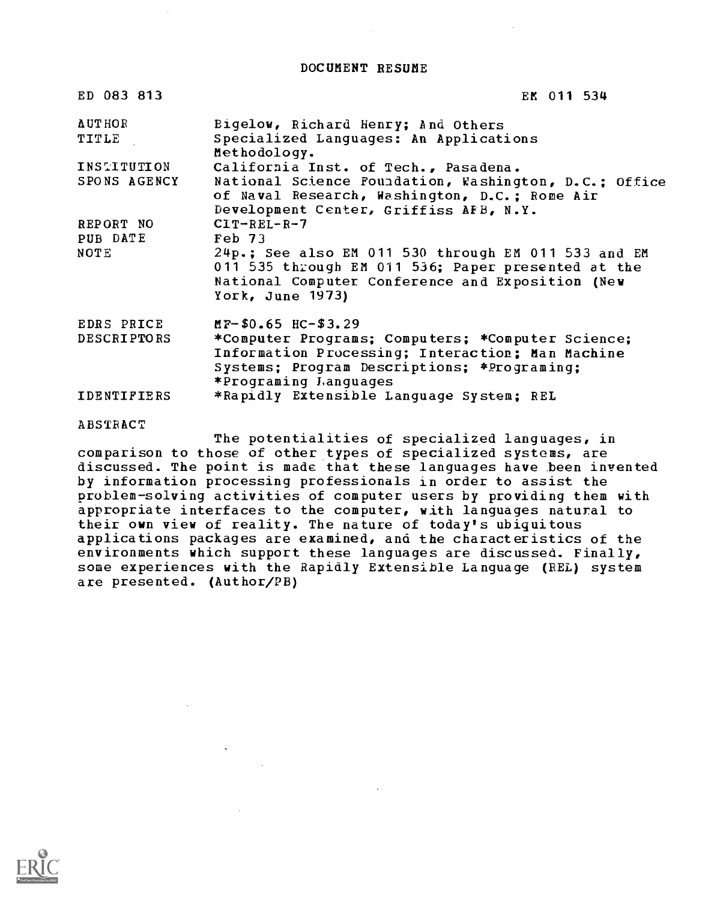DOCUMENT RESUME

| ED 083 813                       | EM 011 534                                                                                                                                                                                                               |
|----------------------------------|--------------------------------------------------------------------------------------------------------------------------------------------------------------------------------------------------------------------------|
| <b>AUTHOR</b><br>TITLE           | Bigelow, Richard Henry; And Others<br>Specialized Languages: An Applications<br>Methodology.                                                                                                                             |
| INSTITUTION<br>SPONS AGENCY      | California Inst. of Tech., Pasadena.<br>National Science Foundation, Washington, D.C.; Office<br>of Naval Research, Washington, D.C.; Rome Air<br>Development Center, Griffiss AFB, N.Y.                                 |
| REPORT NO<br>PUB DATE<br>NOTE    | $CIT-REL-R-7$<br>$\mathbf{F}$ eb 73<br>24p.; See also EM 011 530 through EM 011 533 and EM<br>011 535 through EM 011 536; Paper presented at the<br>National Computer Conference and Exposition (New<br>York, June 1973) |
| EDRS PRICE<br><b>DESCRIPTORS</b> | $M_{F}$ \$0.65 HC-\$3.29<br>*Computer Programs; Computers; *Computer Science;<br>Information Processing; Interaction; Man Machine<br>Systems; Program Descriptions; *Programing;<br>*Programing Languages                |
| <b>IDENTIFIERS</b>               | *Rapidly Extensible Language System; REL                                                                                                                                                                                 |
| ABSTRACT                         |                                                                                                                                                                                                                          |

The potentialities of specialized languages, in comparison to those of other types of specialized systems, are discussed. The point is made that these languages have been invented by information processing professionals in order to assist the problem-solving activities of computer users by providing them with appropriate interfaces to the computer, with languages natural to their own view of reality. The nature of today's ubiquitous applications packages are examined, and the characteristics of the environments which support these languages are discussed. Finally, some experiences with the Rapidly Extensible Language (REL) system are presented. (Author/PB)

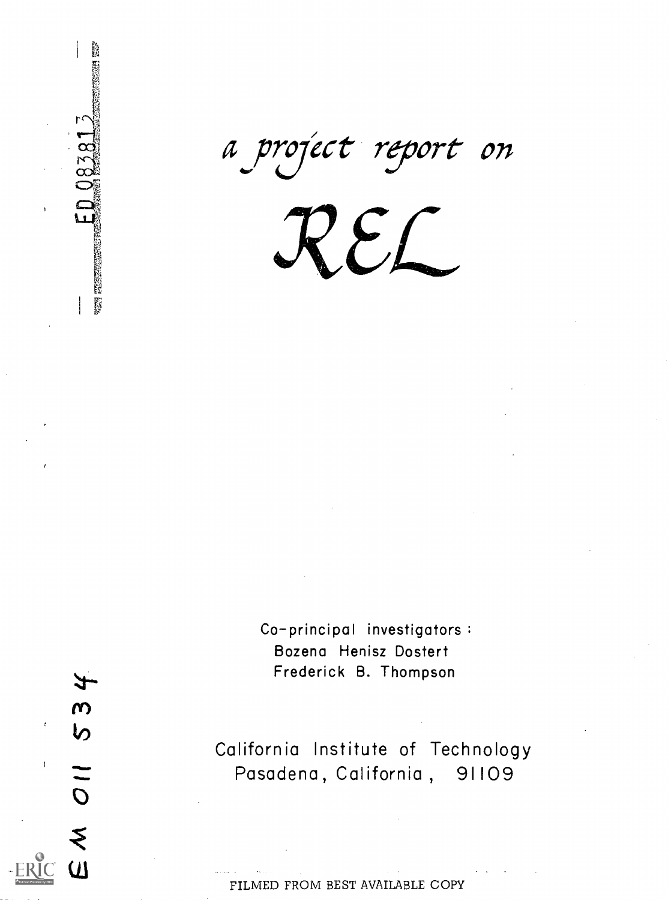a project report on

EL

Co-principal investigators: Bozena Henisz Dostert Frederick B. Thompson

 $\mathfrak{m}$ 

 $\omega$ 

Y.

り

Ű.

 $\alpha$ 

un hij

 $\overline{O}$ California Institute of Technology Pasadena, California , 91109

FILMED FROM BEST AVAILABLE COPY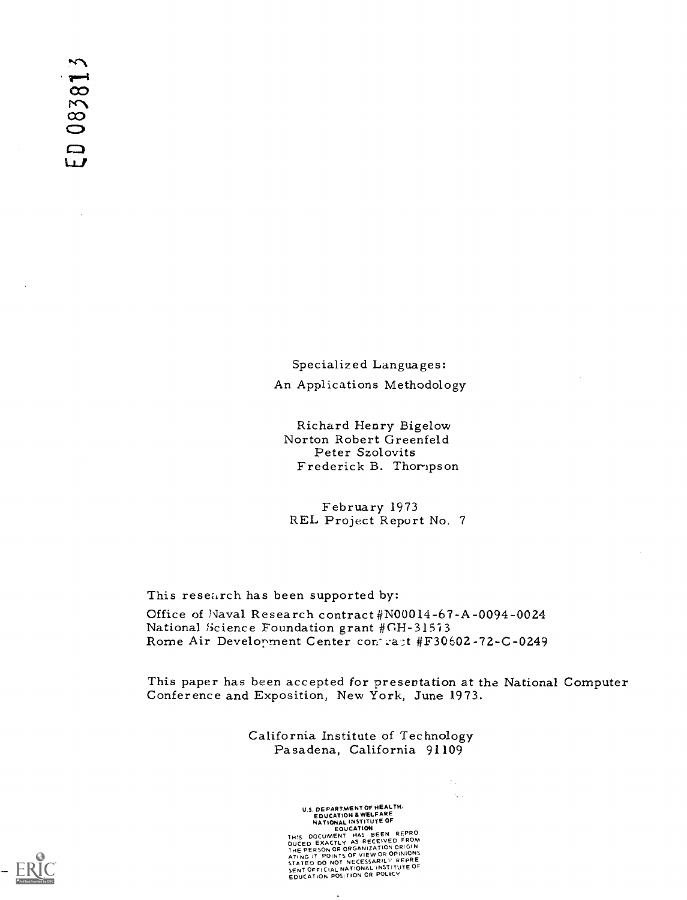Specialized Languages: An Applications Methodology

Richard Henry Bigelow Norton Robert Greenfeld Peter Szolovits Frederick B. Thompson

February 1973 REL Project Report No. 7

This research has been supported by:

Office of Naval Research contract #N00014-67-A-0094-0024 National Science Foundation grant #GH-31573<br>Rome Air Development Center contrast #F30602-72-C-0249

This paper has been accepted for presentation at the National Computer Conference and Exposition, New York, June 1973.

÷.

California Institute of Technology Pasadena, California 91109

U.S. DEPARTMENT OF WEALTH.<br>
EDUCATION A WELFARE<br>
NATIONAL INSTITUTE OF<br>
EOUCATION<br>
EOUCH HAS BEEN REPRO<br>
DUCED EXACTLY AS RECEIVED FROM<br>
DUCED EXACTLY AS RECEIVED FROM<br>
ATING IT POINTS OF VIEW OR OPINIONS<br>
STATED DO NOT NE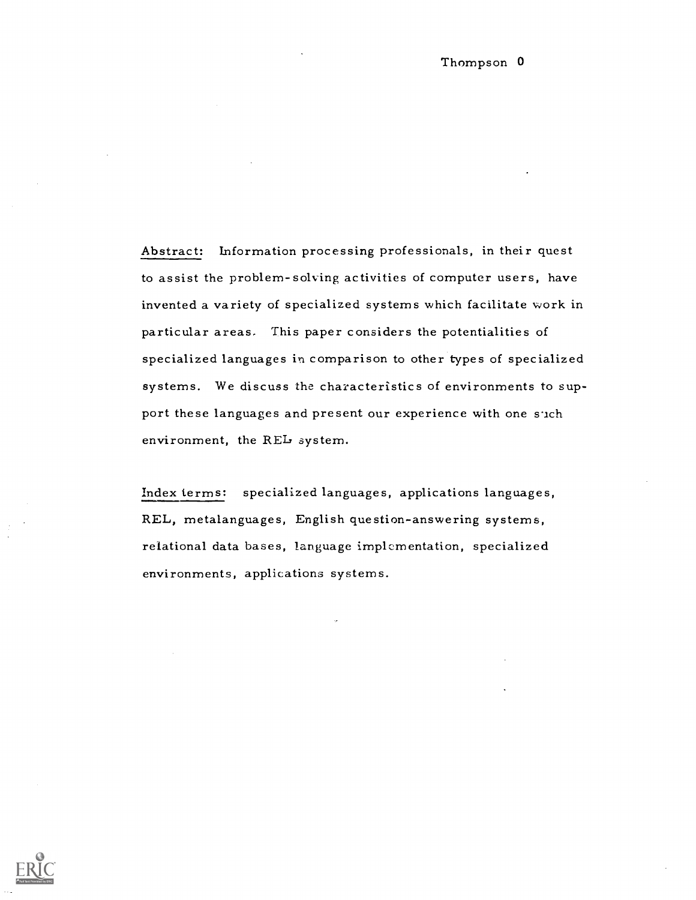Abstract: Information processing professionals, in their quest to assist the problem-solving activities of computer users, have invented a variety of specialized systems which facilitate work in particular areas. This paper considers the potentialities of specialized languages in comparison to other types of specialized systems. We discuss the characteristics of environments to support these languages and present our experience with one such environment, the REL system.

Index terms: specialized languages, applications languages, REL, metalanguages, English question-answering systems, relational data bases, language implementation, specialized environments, applications systems.

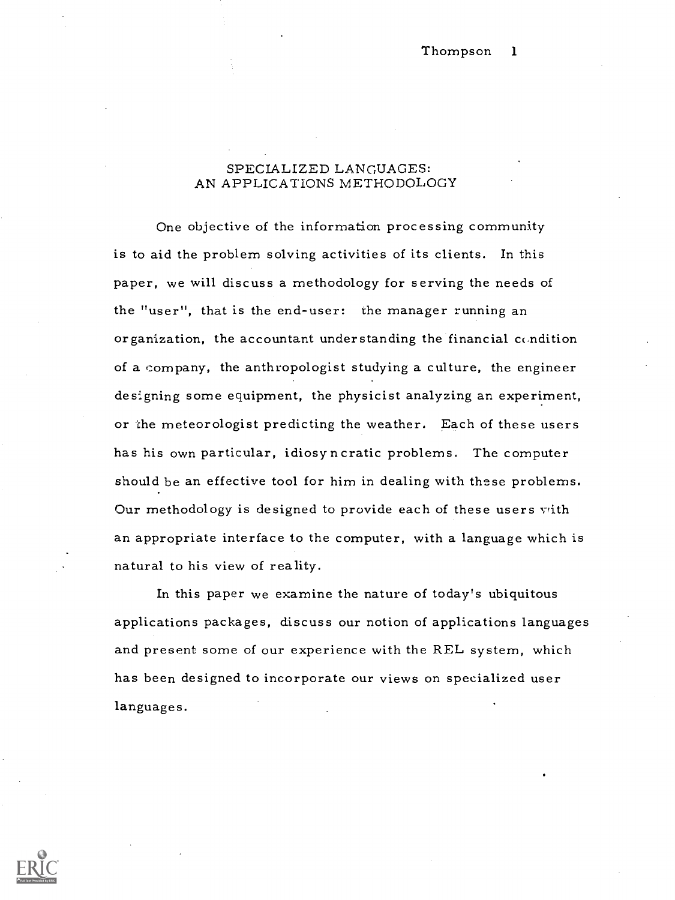## SPECIALIZED LANGUAGES: AN APPLICATIONS METHODOLOGY

One objective of the information processing community is to aid the problem solving activities of its clients. In this paper, we will discuss a methodology for serving the needs of the "user", that is the end-user: the manager running an organization, the accountant understanding the financial condition of a company, the anthropologist studying a culture, the engineer designing some equipment, the physicist analyzing an experiment, or the meteorologist predicting the weather. Each of these users has his own particular, idiosyncratic problems. The computer should be an effective tool for him in dealing with these problems. Our methodology is designed to provide each of these users vith an appropriate interface to the computer, with a language which is natural to his view of reality.

In this paper we examine the nature of today's ubiquitous applications packages, discuss our notion of applications languages and present some of our experience with the REL system, which has been designed to incorporate our views on specialized user languages.

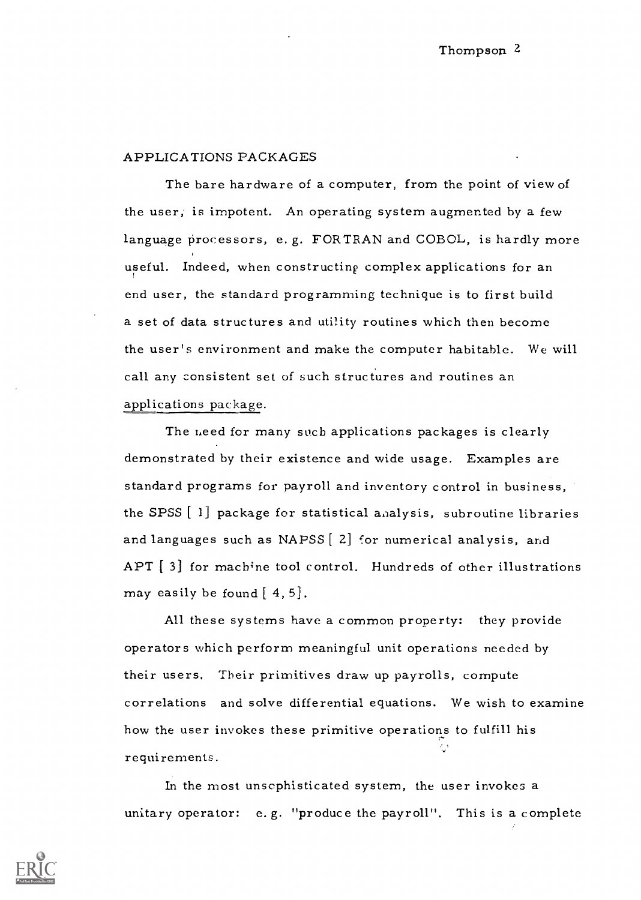### APPLICATIONS PACKAGES

The bare hardware of a computer, from the point of view of the user, is impotent. An operating system augmented by a few language processors, e.g. FORTRAN and COBOL, is hardly more useful. Indeed, when constructing complex applications for an end user, the standard programming technique is to first build a set of data structures and utility routines which then become the user's environment and make the computer habitable. We will call any consistent set of such structures and routines an applications package.

The need for many such applications packages is clearly demonstrated by their existence and wide usage. Examples are standard programs for payroll and inventory control in business, the SPSS [ 1] package for statistical analysis, subroutine libraries and languages such as NAPSS [2] for numerical analysis, and APT [3] for machine tool control. Hundreds of other illustrations may easily be found  $[4, 5]$ .

All these systems have a common property: they provide operators which perform meaningful unit operations needed by their users, Their primitives draw up payrolls, compute correlations and solve differential equations. We wish to examine how the user invokes these primitive operations to fulfill his requirements.

In the most unsophisticated system, the user invokes a unitary operator: e. g. "produce the payroll". This is a complete

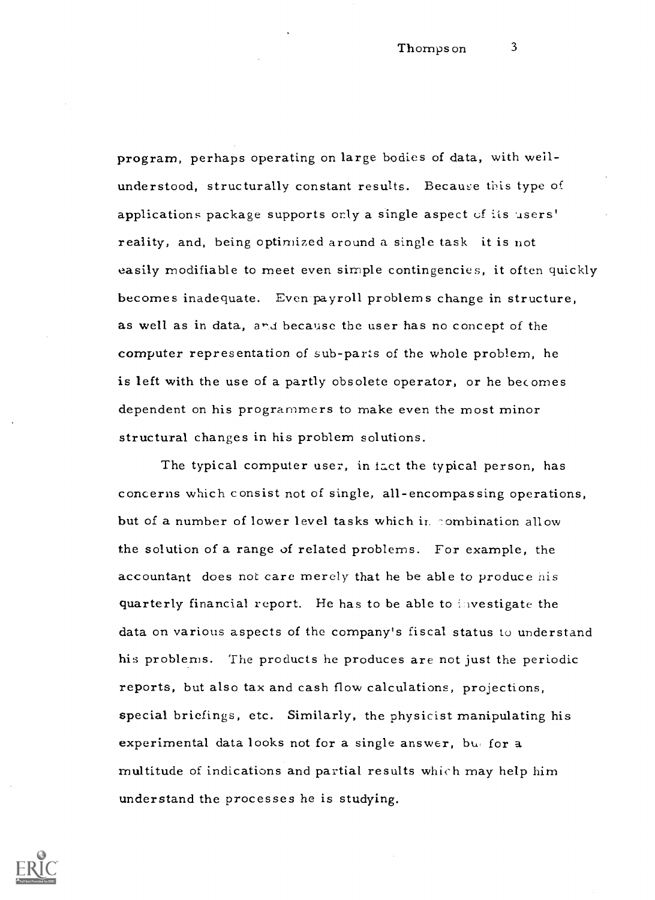program, perhaps operating on large bodies of data, with wellunderstood, structurally constant results. Because this type of applications package supports only a single aspect of its users' reality, and, being optimized around a single task it is not easily modifiable to meet even simple contingencies, it often quickly becomes inadequate. Even payroll problems change in structure, as well as in data, and because the user has no concept of the computer representation of sub-parts of the whole problem, he is left with the use of a partly obsolete operator, or he becomes dependent on his programmers to make even the most minor structural changes in his problem solutions.

The typical computer user, in fact the typical person, has concerns which consist not of single, all-encompassing operations, but of a number of lower level tasks which in combination allow the solution of a range of related problems. For example, the accountant does not care merely that he be able to produce his quarterly financial report. He has to be able to investigate the data on various aspects of the company's fiscal status to understand his problems. The products he produces are not just the periodic reports, but also tax and cash flow calculations, projections, special briefings, etc. Similarly, the physicist manipulating his experimental data looks not for a single answer, but for a multitude of indications and partial results which may help him understand the processes he is studying.

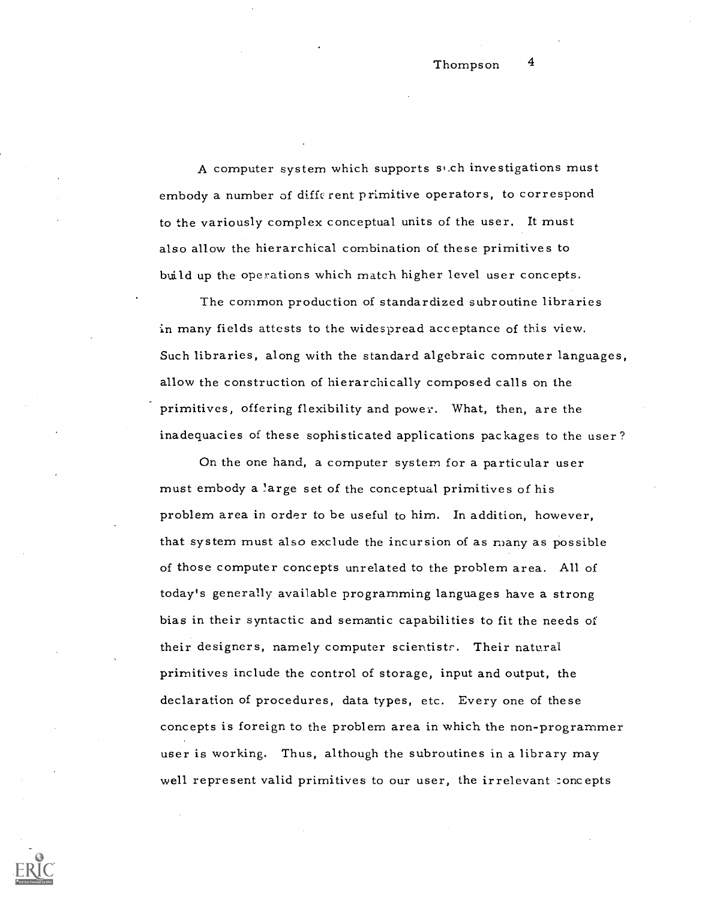A computer system which supports si.ch investigations must embody a number of different primitive operators, to correspond to the variously complex conceptual units of the user. It must also allow the hierarchical combination of these primitives to build up the operations which match higher level user concepts.

The common production of standardized subroutine libraries in many fields attests to the widespread acceptance of this view. Such libraries, along with the standard algebraic computer languages, allow the construction of hierarchically composed calls on the primitives, offering flexibility and power. What, then, are the inadequacies of these sophisticated applications packages to the user?

On the one hand, a computer system for a particular user must embody a !arge set of the conceptual primitives of his problem area in order to be useful to him. In addition, however, that system must also exclude the incursion of as many as possible of those computer concepts unrelated to the problem area. All of today's generally available programming languages have a strong bias in their syntactic and semantic capabilities to fit the needs of their designers, namely computer scientists. Their natural primitives include the control of storage, input and output, the declaration of procedures, data types, etc. Every one of these concepts is foreign to the problem area in which the non-programmer user is working. Thus, although the subroutines in a library may well represent valid primitives to our user, the irrelevant concepts

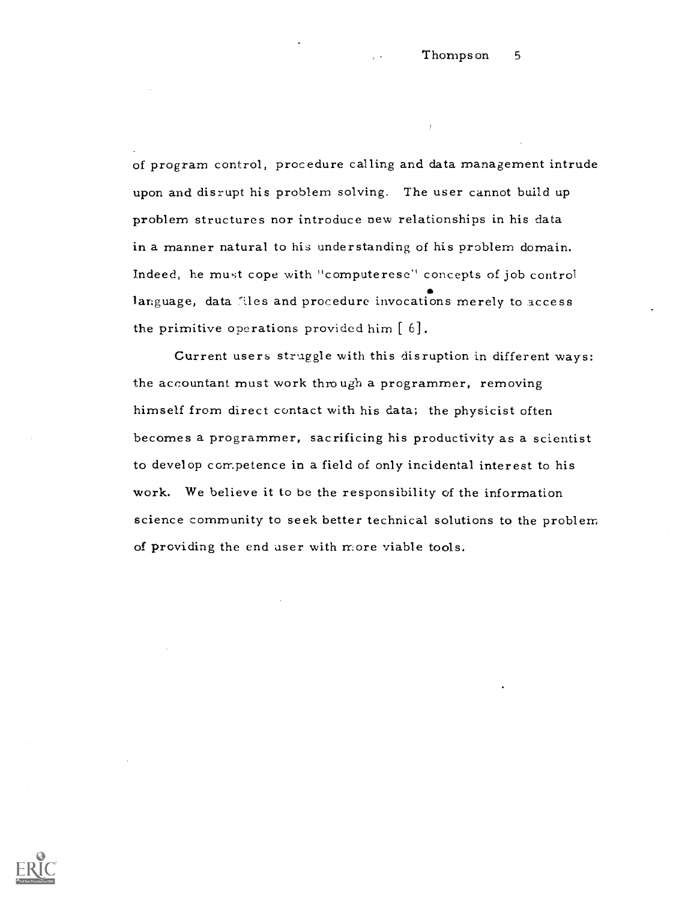of program control, procedure calling and data management intrude upon and disrupt his problem solving. The user cannot build up problem structures nor introduce new relationships in his data in a manner natural to his understanding of his problem domain. Indeed, he must cope with "computerese" concepts of job control language, data files and procedure invocations merely to access the primitive operations provided him  $[6]$ .

Current users struggle with this disruption in different ways: the accountant must work through a programmer, removing himself from direct contact with his data; the physicist often becomes a programmer, sacrificing his productivity as a scientist to develop competence in a field of only incidental interest to his work. We believe it to be the responsibility of the information science community to seek better technical solutions to the problem of providing the end user with more viable tools.

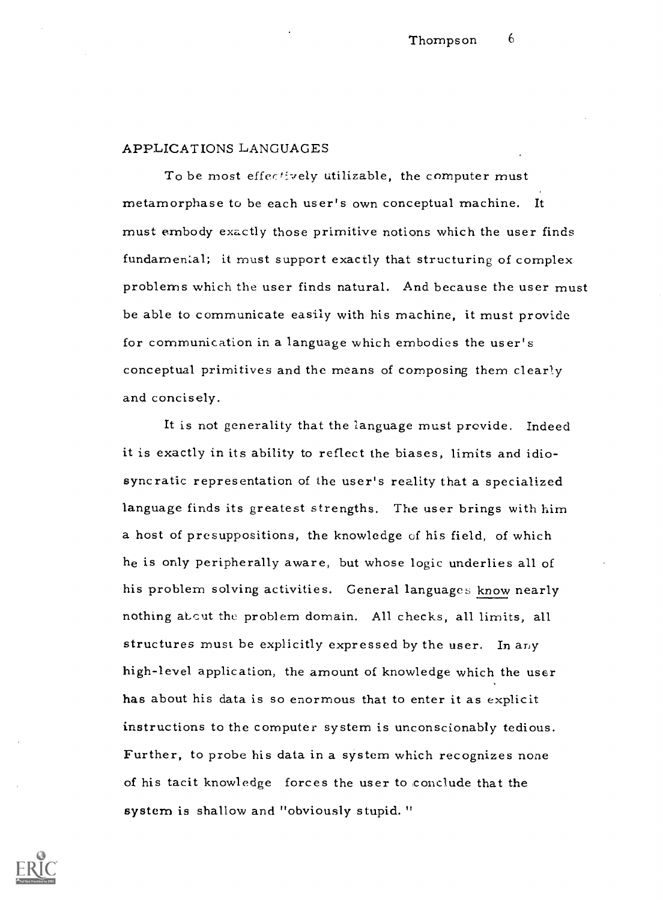## APPLICATIONS LANGUAGES

To be most effectively utilizable, the computer must metamorphase to be each user's own conceptual machine. It must embody exactly those primitive notions which the user finds fundamental; it must support exactly that structuring of complex problems which the user finds natural. And because the user must be able to communicate easily with his machine, it must provide for communication in a language which embodies the user's conceptual primitives and the means of composing them clearly and concisely.

It is not generality that the language must provide. Indeed it is exactly in its ability to reflect the biases, limits and idiosyncratic representation of the user's reality that a specialized language finds its greatest strengths. The user brings with him a host of presuppositions, the knowledge of his field, of which he is only peripherally aware, but whose logic underlies all of his problem solving activities. General languages know nearly nothing about the problem domain. All checks, all limits, all structures must be explicitly expressed by the user. In any high-level application, the amount of knowledge which the user has about his data is so enormous that to enter it as explicit instructions to the computer system is unconscionably tedious. Further, to probe his data in a system which recognizes none of his tacit knowledge forces the user to ,conclude that the system is shallow and "obviously stupid."

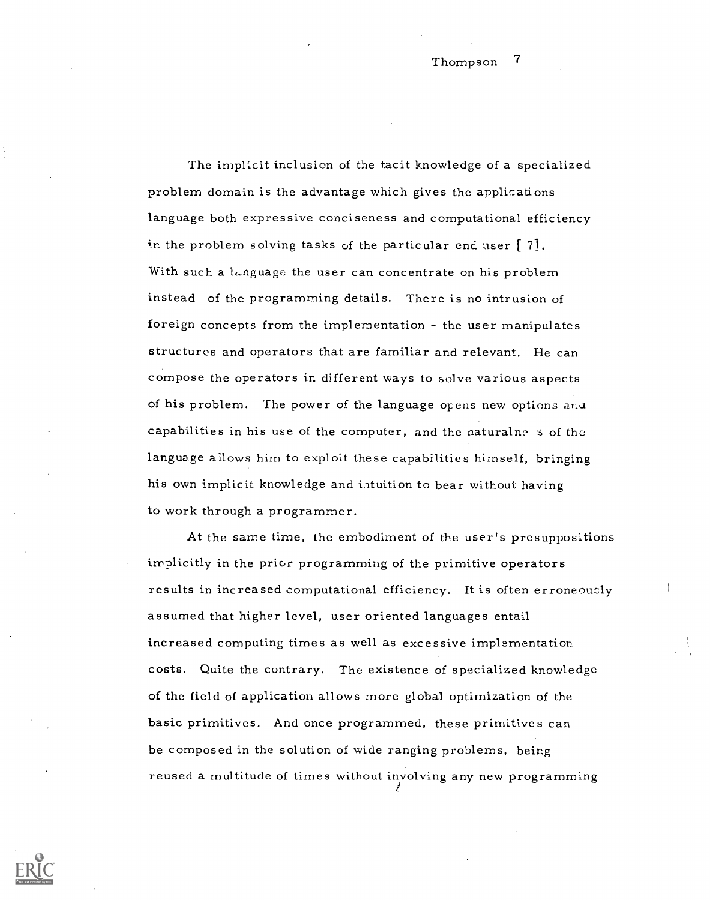The implicit inclusion of the tacit knowledge of a specialized problem domain is the advantage which gives the applications language both expressive conciseness and computational efficiency in the problem solving tasks of the particular end user  $\lceil 7 \rceil$ . With such a language the user can concentrate on his problem instead of the programming details. There is no intrusion of foreign concepts from the implementation - the user manipulates structures and operators that are familiar and relevant. He can compose the operators in different ways to solve various aspects of his problem. The power of the language opens new options and capabilities in his use of the computer, and the naturalness of the language allows him to exploit these capabilities himself, bringing his own implicit knowledge and intuition to bear without having to work through a programmer.

At the same time, the embodiment of the user's presuppositions implicitly in the prior programming of the primitive operators results in increased computational efficiency. It is often erroneously assumed that higher level, user oriented languages entail increased computing times as well as excessive implementation costs. Quite the contrary. The existence of specialized knowledge of the field of application allows more global optimization of the basic primitives. And once programmed, these primitives can be composed in the solution of wide ranging problems, being reused a multitude of times without involving any new programming

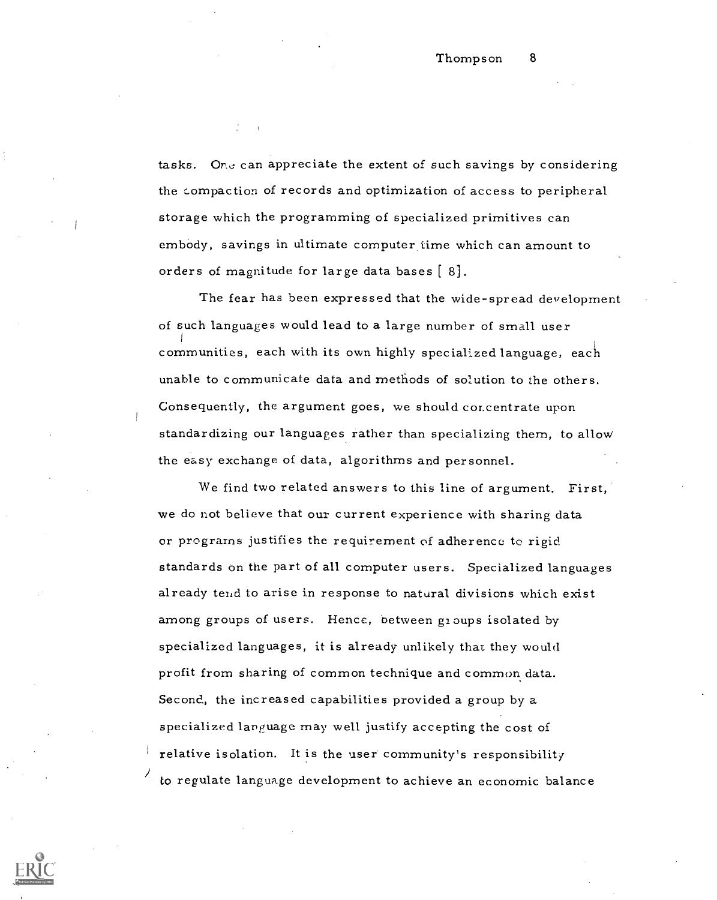tasks. One can appreciate the extent of such savings by considering the compaction of records and optimization of access to peripheral storage which the programming of specialized primitives can embody, savings in ultimate computer time which can amount to orders of magnitude for large data bases [ 8].

The fear has been expressed that the wide-spread development of such languages would lead to a large number of small user communities, each with its own highly specialized language, each unable to communicate data and methods of solution to the others. Consequently, the argument goes, we should concentrate upon standardizing our languages rather than specializing them, to allow the easy exchange of data, algorithms and personnel.

We find two related answers to this line of argument. First, we do not believe that our current experience with sharing data or programs justifies the requirement of adherence to rigid standards on the part of all computer users. Specialized languages already tend to arise in response to natural divisions which exist among groups of users. Hence, between gi oups isolated by specialized languages, it is already unlikely that they would profit from sharing of common technique and common data. Second, the increased capabilities provided a group by a specialized language may well justify accepting the cost of relative isolation. It is the user community's responsibility to regulate language development to achieve an economic balance

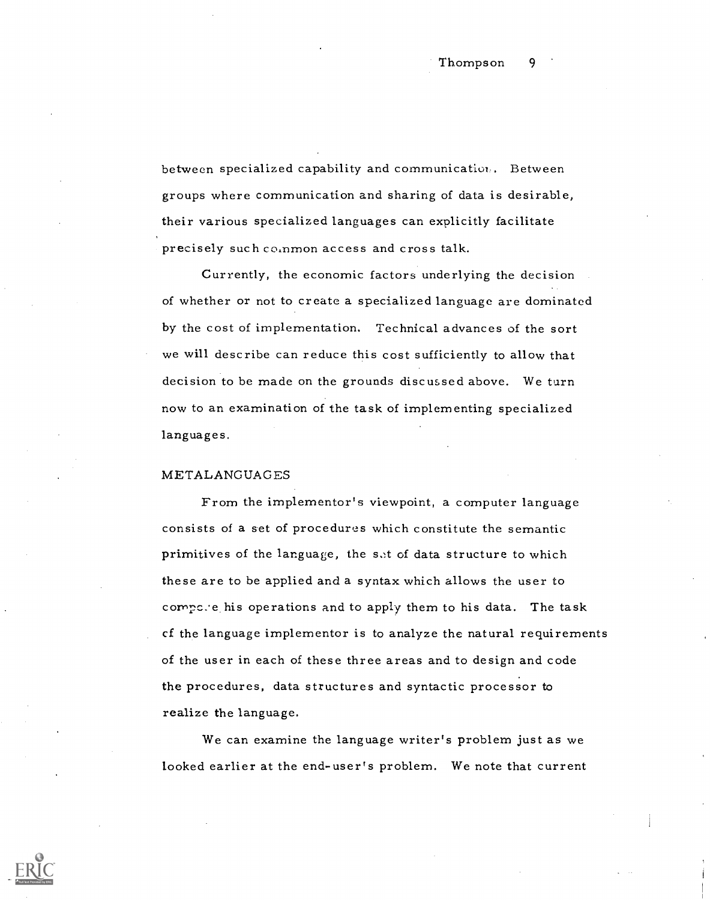between specialized capability and communication. Between groups where communication and sharing of data is desirable, their various specialized languages can explicitly facilitate precisely such co,nmon access and cross talk.

Currently, the economic factors underlying the decision of whether or not to create a specialized language are dominated by the cost of implementation. Technical advances of the sort we will describe can reduce this cost sufficiently to allow that decision to be made on the grounds discussed above. We turn now to an examination of the task of implementing specialized languages.

## METALANGUAGES

From the implementor's viewpoint, a computer language consists of a set of procedures which constitute the semantic primitives of the language, the set of data structure to which these are to be applied and a syntax which allows the user to compc.e his operations and to apply them to his data. The task cf the language implementor is to analyze the natural requirements of the user in each of these three areas and to design and code the procedures, data structures and syntactic processor to realize the language.

We can examine the language writer's problem just as we looked earlier at the end-user's problem. We note that current

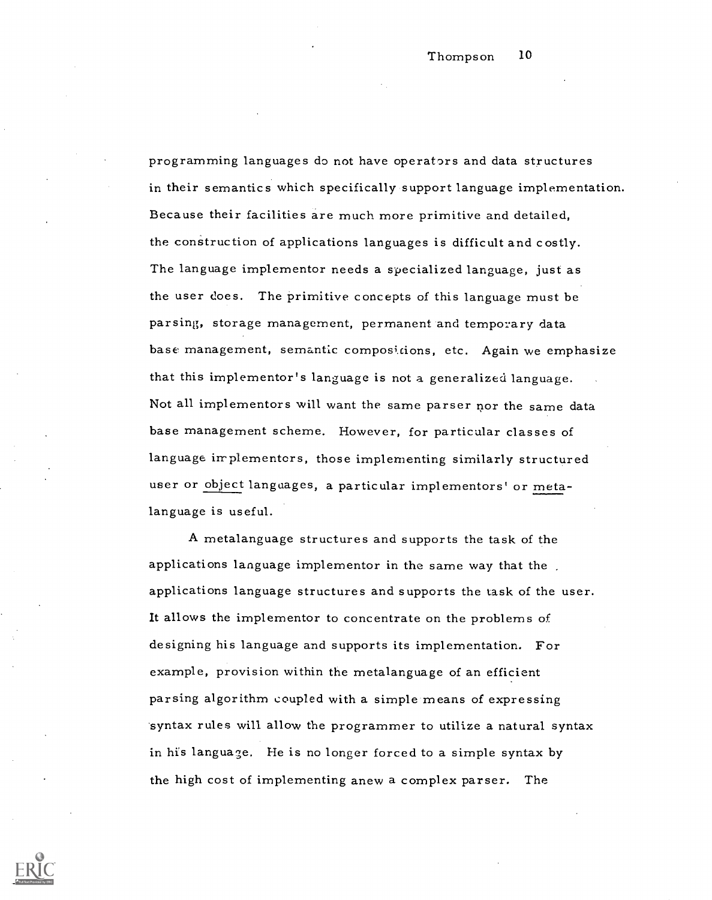programming languages do not have operators and data structures in their semantics which specifically support language implementation. Because their facilities are much more primitive and detailed, the construction of applications languages is difficult and costly. The language implementor needs a specialized language, just as the user does. The primitive concepts of this language must be parsing, storage management, permanent and temporary data base management, semantic compositions, etc. Again we emphasize that this implementor's language is not a generalized language. Not all implementors will want the same parser nor the same data base management scheme. However, for particular classes of language implementers, those implementing similarly structured user or object languages, a particular implementors' or metalanguage is useful.

A metalanguage structures and supports the task of the applications language implementor in the same way that the applications language structures and supports the task of the user. It allows the implementor to concentrate on the problems of designing his language and supports its implementation. For example, provision within the metalanguage of an efficient parsing algorithm coupled with a simple means of expressing syntax rules will allow the programmer to utilize a natural syntax in his language. He is no longer forced to a simple syntax by the high cost of implementing anew a complex parser. The

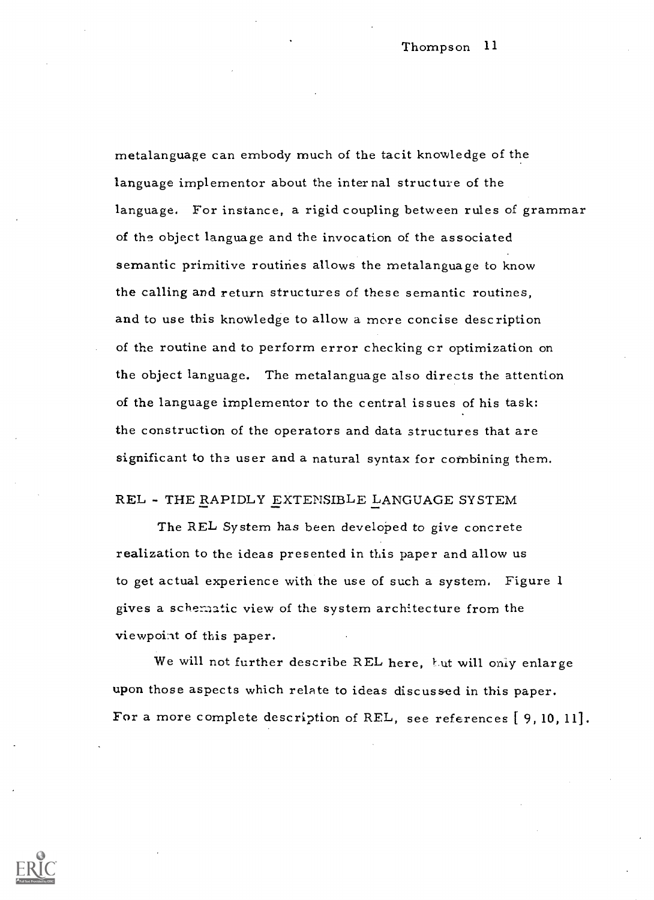Thompson 11

metalanguage can embody much of the tacit knowledge of the language implementor about the internal structure of the language. For instance, a rigid coupling between rules of grammar of the object language and the invocation of the associated semantic primitive routines allows the metalanguage to know the calling and return structures of these semantic routines, and to use this knowledge to allow a more concise description of the routine and to perform error checking cr optimization on the object language. The metalanguage also directs the attention of the language implementor to the central issues of his task: the construction of the operators and data structures that are significant to the user and a natural syntax for combining them,

## REL - THE RAPIDLY EXTENSIBLE LANGUAGE SYSTEM

The REL System has been developed to give concrete realization to the ideas presented in this paper and allow us to get actual experience with the use of such a system. Figure 1 gives a schennatic view of the system architecture from the viewpoint of this paper.

We will not further describe REL here, but will only enlarge upon those aspects which relate to ideas discussed in this paper. For a more complete description of REL, see references [ 9, 10, 11].

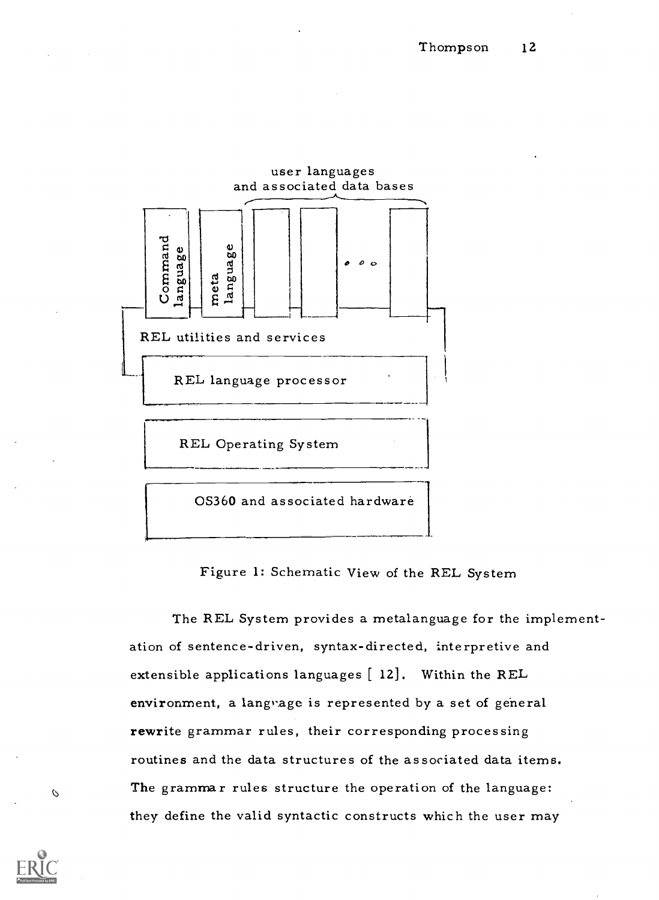

 $\mathcal{O}$ 

Figure 1: Schematic View of the REL System

The REL System provides a metalanguage for the implementation of sentence-driven, syntax-directed, interpretive and extensible applications languages [ 12]. Within the REL environment, a langrage is represented by a set of general rewrite grammar rules, their corresponding processing routines and the data structures of the associated data items. The grammar rules structure the operation of the language: they define the valid syntactic constructs which the user may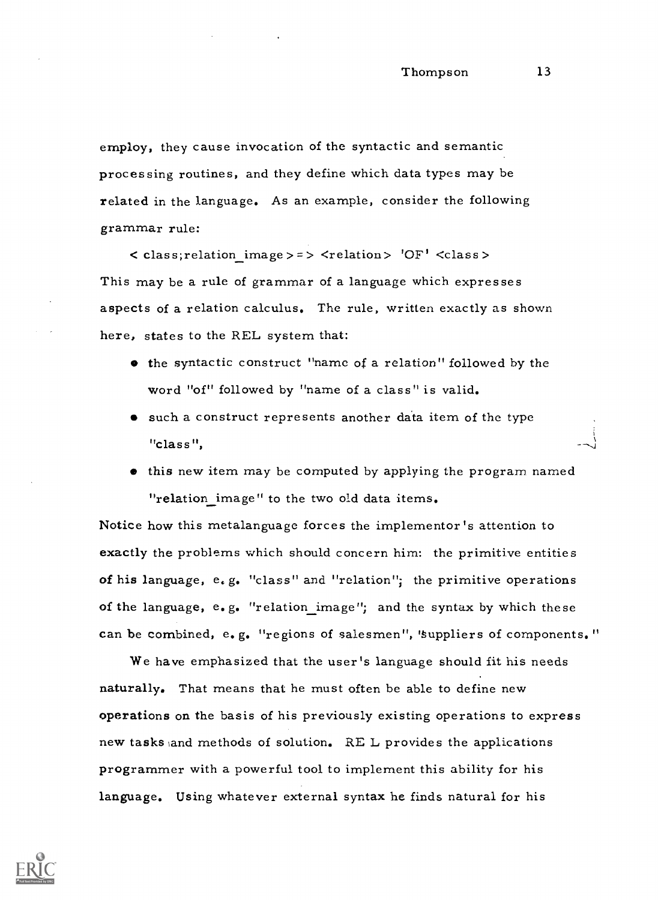employ, they cause invocation of the syntactic and semantic processing routines, and they define which data types may be related in the language. As an example, consider the following grammar rule:

 $\langle$  class; relation image > = >  $\langle$  relation > 'OF'  $\langle$  class > This may be a rule of grammar of a language which expresses aspects of a relation calculus. The rule, written exactly as shown here, states to the REL system that:

- the syntactic construct "name of a relation" followed by the word "of" followed by "name of a class" is valid.
- such a construct represents another data item of the type "class",
- $\bullet$  this new item may be computed by applying the program named "relation image" to the two old data items.

Notice how this metalanguage forces the implementor's attention to exactly the problems which should concern him: the primitive entities of his language,  $e_{\epsilon}g_{\epsilon}$  "class" and "relation"; the primitive operations of the language,  $e_{\bullet}g_{\bullet}$  "relation image"; and the syntax by which these can be combined, e.g. "regions of salesmen", 'suppliers of components."

We have emphasized that the user's language should fit his needs naturally. That means that he must often be able to define new operations on the basis of his previously existing operations to express new tasks and methods of solution. RE L provides the applications programmer with a powerful tool to implement this ability for his language. Using whatever external syntax he finds natural for his

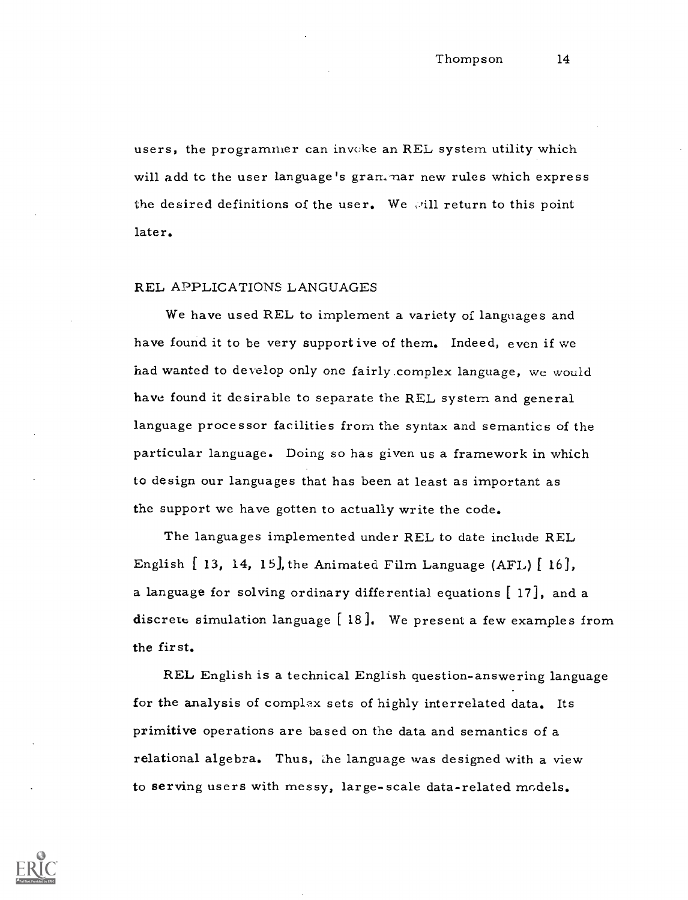users, the programmer can invoke an REL system utility which will add to the user language's grammar new rules which express the desired definitions of the user. We will return to this point later.

## REL APPLICATIONS LANGUAGES

We have used REL to implement a variety of languages and have found it to be very support ive of them. Indeed, even if we had wanted to develop only one fairly complex language, we would have found it desirable to separate the REL system and general language processor facilities from the syntax and semantics of the particular language. Doing so has given us a framework in which to design our languages that has been at least as important as the support we have gotten to actually write the code.

The languages implemented under REL to date include REL English  $[13, 14, 15]$ , the Animated Film Language (AFL)  $[16]$ , a language for solving ordinary differential equations [ 17], and a discrete simulation language  $[18]$ . We present a few examples from the first.

REL English is a technical English question-answering language for the analysis of complex sets of highly interrelated data. Its primitive operations are based on the data and semantics of a relational algebra. Thus, the language was designed with a view to serving users with messy, large-scale data-related models.

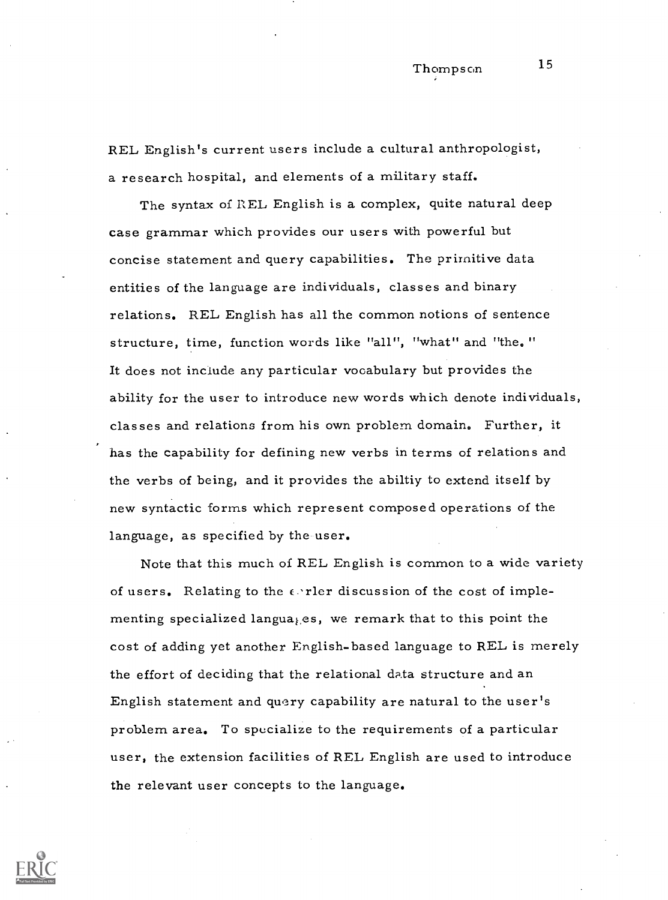REL English's current users include a cultural anthropologist, a research hospital, and elements of a military staff.

The syntax of REL English is a complex, quite natural deep case grammar which provides our users with powerful but concise statement and query capabilities. The primitive data entities of the language are individuals, classes and binary relations. REL English has all the common notions of sentence structure, time, function words like "all", "what" and "the." It does not include any particular vocabulary but provides the ability for the user to introduce new words which denote individuals, classes and relations from his own problem domain. Further, it has the capability for defining new verbs in terms of relations and the verbs of being, and it provides the abiltiy to extend itself by new syntactic forms which represent composed operations of the language, as specified by the user.

Note that this much of REL English is common to a wide variety of users. Relating to the  $\epsilon$  rler discussion of the cost of implementing specialized langua<sub>ties</sub>, we remark that to this point the cost of adding yet another English-based language to REL is merely the effort of deciding that the relational data structure and an English statement and query capability are natural to the user's problem area. To specialize to the requirements of a particular user, the extension facilities of REL English are used to introduce the relevant user concepts to the language.

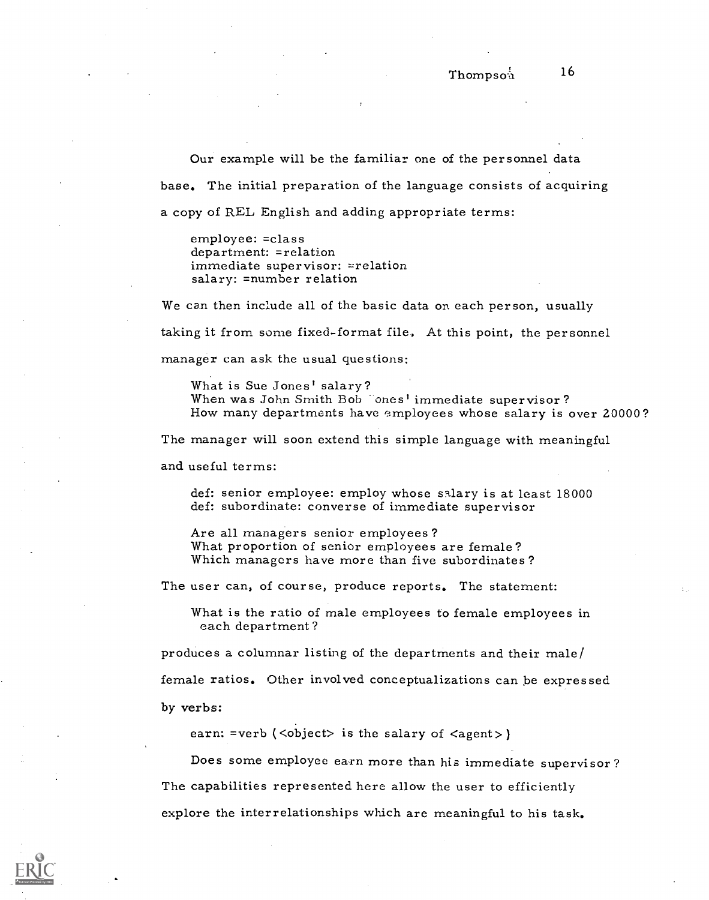Our example will be the familiar one of the personnel data base. The initial preparation of the language consists of acquiring

a copy of REL English and adding appropriate terms:

employee: =class department: =relation immediate supervisor: =relation salary: =number relation

We can then include all of the basic data on each person, usually taking it from some fixed-format file. At this point, the personnel manager can ask the usual questions:

What is Sue Jones' salary?<br>When was John Smith Bob cones' immediate supervisor?<br>How many departments have employees whose salary is over 20000?

The manager will soon extend this simple language with meaningful

and useful terms:

def: senior employee: employ whose salary is at least 18000 def: subordinate: converse of immediate supervisor

Are all managers senior employees?<br>What proportion of senior employees are female?<br>Which managers have more than five subordinates?

The user can, of course, produce reports. The statement:

What is the ratio of male employees to female employees in each department?

produces a columnar listing of the departments and their male/

female ratios. Other involved conceptualizations can be expressed

by verbs:

earn: =verb  $\langle \text{>} \rangle$  is the salary of  $\langle \text{agent>} \rangle$ 

Does some employee earn more than his immediate supervisor ? The capabilities represented here allow the user to efficiently explore the interrelationships which are meaningful to his task.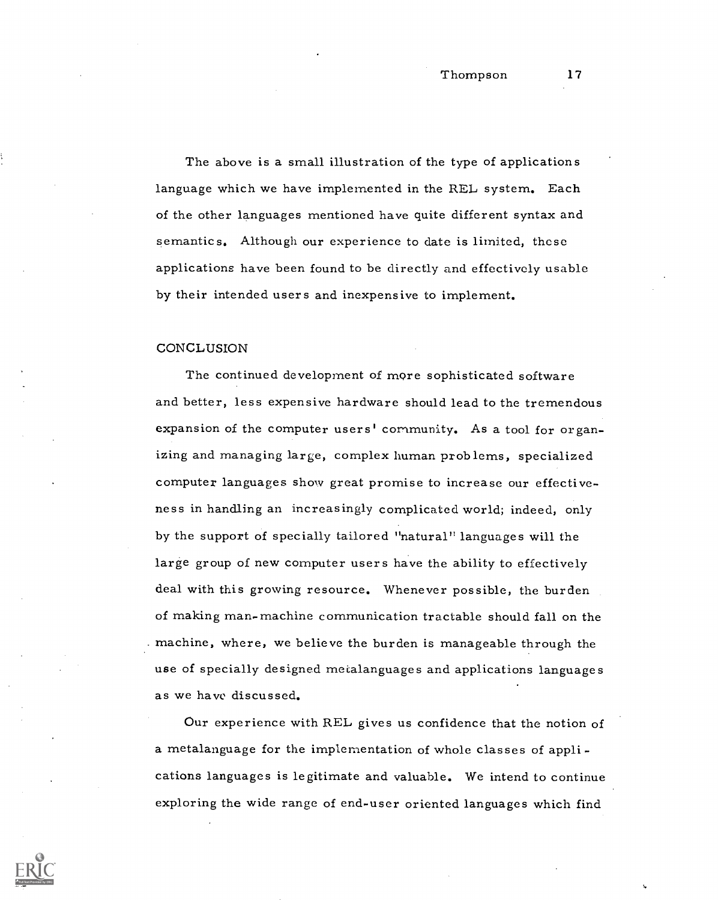The above is a small illustration of the type of applications language which we have implemented in the REL system. Each of the other languages mentioned have quite different syntax and semantics. Although our experience to date is limited, these applications have been found to be directly and effectively usable by their intended users and inexpensive to implement.

#### **CONCLUSION**

The continued development of more sophisticated software and better, less expensive hardware should lead to the tremendous expansion of the computer users' community. As a tool for organizing and managing large, complex human problems, specialized computer languages show great promise to increase our effectiveness in handling an increasingly complicated world; indeed, only by the support of specially tailored "natural" languages will the large group of new computer users have the ability to effectively deal with this growing resource. Whenever possible, the burden of making man-machine communication tractable should fall on the machine, where, we believe the burden is manageable through the use of specially designed mecalanguages and applications languages as we have discussed.

Our experience with REL gives us confidence that the notion of a metalanguage for the implementation of whole classes of appli cations languages is legitimate and valuable. We intend to continue exploring the wide range of end-user oriented languages which find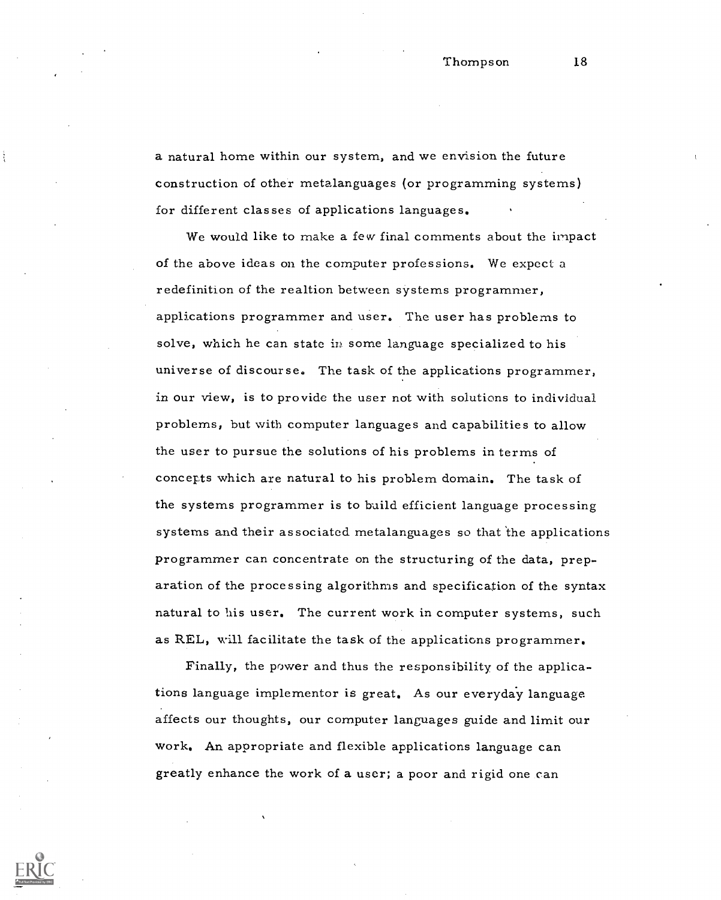a natural home within our system, and we envision the future construction of other metalanguages (or programming systems) for different classes of applications languages.

We would like to make a few final comments about the impact of the above ideas on the computer professions. We expect a redefinition of the realtion between systems programmer, applications programmer and user. The user has problems to solve, which he can state in some language specialized to his universe of discourse. The task of the applications programmer, in our view, is to provide the user not with solutions to individual problems, but with computer languages and capabilities to allow the user to pursue the solutions of his problems in terms of concerts which are natural to his problem domain, The task of the systems programmer is to build efficient language processing systems and their associated metalanguages so that the applications programmer can concentrate on the structuring of the data, preparation of the processing algorithms and specification of the syntax natural to his user. The current work in computer systems, such as REL, will facilitate the task of the applications programmer.

Finally, the power and thus the responsibility of the applications language implementor is great. As our everyday language. affects our thoughts, our computer languages guide and limit our work. An appropriate and flexible applications language can greatly enhance the work of a user; a poor and rigid one can

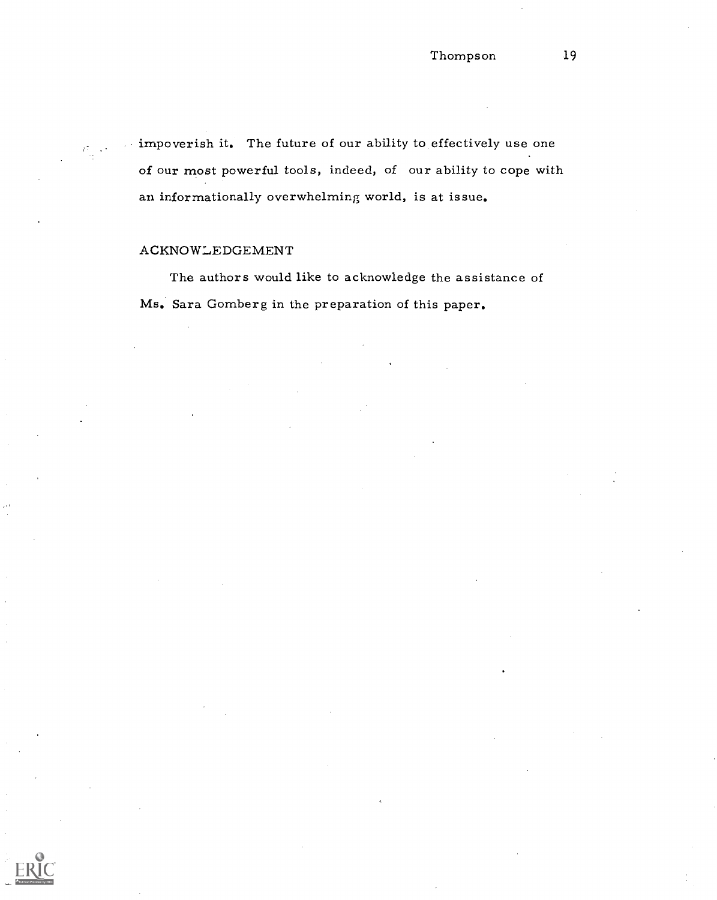impoverish it. The future of our ability to effectively use one of our most powerful tools, indeed, of our ability to cope with an informationally overwhelming world, is at issue.

# ACKNOWLEDGEMENT

The authors would like to acknowledge the assistance of Ms. Sara Gomberg in the preparation of this paper.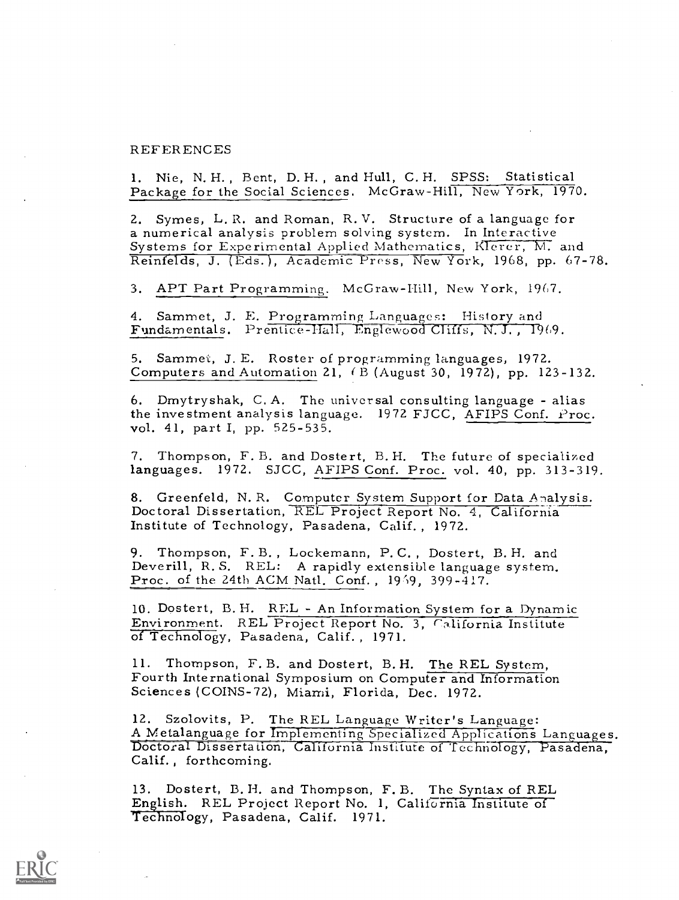#### REFERENCES

1. Nie, N. H. , Bent, D. H. , and Hull, C. H. SPSS: Statistical Package for the Social Sciences. McGraw-Hill, New York, 1970.

2. Symes, L. R. and Roman, R. V. Structure of a language for<br>a numerical analysis problem solving system. In Interactive<br>Systems for Experimental Applied Mathematics, Klerer, M. and Reinfelds, J. (Eds.), Academic Press, New York, 1968, pp. 67-78.

3. APT Part Programming. McGraw-Hill, New York, 1967.

4. Sammet, J. E. Programming Languages: History and Fundamentals. Prentice-Hall, Englewood Cliffs, N.J., 1969.

5. Sammet, J. E. Roster of programming languages, 1972. Computers and Automation 21, ( B (August 30, 1972), pp. 123-132.

6. Dmytryshak, C. A. The universal consulting language - alias the investment analysis language. 1972 FJCC, AFIPS Conf.  $Proc$ . vol. 41, part I, pp. 525-535.

7. Thompson, F. B. and Dostert, B. H. The future of specialized languages. 1972. SJCC, AFIPS Conf. Proc. vol. 40, pp. 313-319.

8. Greenfeld, N. R. Computer System Support for Data Analysis.<br>Doctoral Dissertation, REL Project Report No. 4, California Institute of Technology, Pasadena, Calif. , 1972.

9. Thompson, F. B., Lockemann, P. C., Dostert, B. H. and Deverill, R. S. REL: A rapidly extensible language system.<br>Proc. of the 24th ACM Natl. Conf., 1959, 399-417.

10. Dostert, B. H. REL - An Information System for a Dynamic Environment. REL Project Report No. 3, California Institute of Technology, Pasadena, Calif., 1971.

11. Thompson, F. B. and Dostert, B. H. The REL System,<br>Fourth International Symposium on Computer and Information<br>Sciences (COINS-72), Miami, Florida, Dec. 1972.

12. Szolovits, P. The REL Language Writer's Language:<br>A Metalanguage for Implementing Specialized Applications Languages.<br>Doctoral Dissertation, California Institute of Technology, Pasadena,<br>Calif., forthcoming.

13. Dostert, B. H. and Thompson, F. B. The Syntax of REL<br>English. REL Project Report No. 1, California Institute of<br>Technology, Pasadena, Calif. 1971.